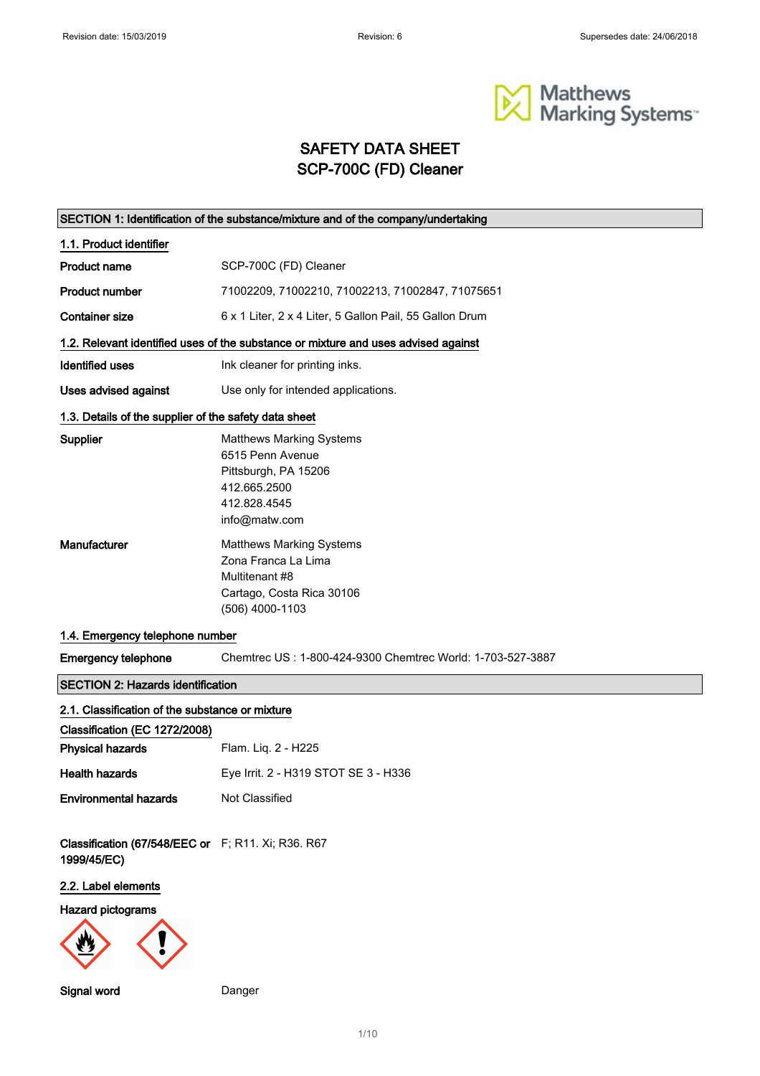

## SAFETY DATA SHEET SCP-700C (FD) Cleaner

|                                                                   | SECTION 1: Identification of the substance/mixture and of the company/undertaking                                            |  |  |
|-------------------------------------------------------------------|------------------------------------------------------------------------------------------------------------------------------|--|--|
| 1.1. Product identifier                                           |                                                                                                                              |  |  |
| <b>Product name</b>                                               | SCP-700C (FD) Cleaner                                                                                                        |  |  |
| Product number                                                    | 71002209, 71002210, 71002213, 71002847, 71075651                                                                             |  |  |
| <b>Container size</b>                                             | 6 x 1 Liter, 2 x 4 Liter, 5 Gallon Pail, 55 Gallon Drum                                                                      |  |  |
|                                                                   | 1.2. Relevant identified uses of the substance or mixture and uses advised against                                           |  |  |
| <b>Identified uses</b>                                            | Ink cleaner for printing inks.                                                                                               |  |  |
| Uses advised against                                              | Use only for intended applications.                                                                                          |  |  |
| 1.3. Details of the supplier of the safety data sheet             |                                                                                                                              |  |  |
| <b>Supplier</b>                                                   | <b>Matthews Marking Systems</b><br>6515 Penn Avenue<br>Pittsburgh, PA 15206<br>412.665.2500<br>412.828.4545<br>info@matw.com |  |  |
| Manufacturer                                                      | <b>Matthews Marking Systems</b><br>Zona Franca La Lima<br>Multitenant #8<br>Cartago, Costa Rica 30106<br>(506) 4000-1103     |  |  |
| 1.4. Emergency telephone number                                   |                                                                                                                              |  |  |
| <b>Emergency telephone</b>                                        | Chemtrec US: 1-800-424-9300 Chemtrec World: 1-703-527-3887                                                                   |  |  |
| <b>SECTION 2: Hazards identification</b>                          |                                                                                                                              |  |  |
| 2.1. Classification of the substance or mixture                   |                                                                                                                              |  |  |
| Classification (EC 1272/2008)                                     |                                                                                                                              |  |  |
| <b>Physical hazards</b>                                           | Flam. Liq. 2 - H225                                                                                                          |  |  |
| <b>Health hazards</b>                                             | Eye Irrit. 2 - H319 STOT SE 3 - H336                                                                                         |  |  |
| <b>Environmental hazards</b>                                      | Not Classified                                                                                                               |  |  |
| Classification (67/548/EEC or F; R11. Xi; R36. R67<br>1999/45/EC) |                                                                                                                              |  |  |
| 2.2. Label elements                                               |                                                                                                                              |  |  |
| Hazard pictograms                                                 |                                                                                                                              |  |  |
| Signal word                                                       | Danger                                                                                                                       |  |  |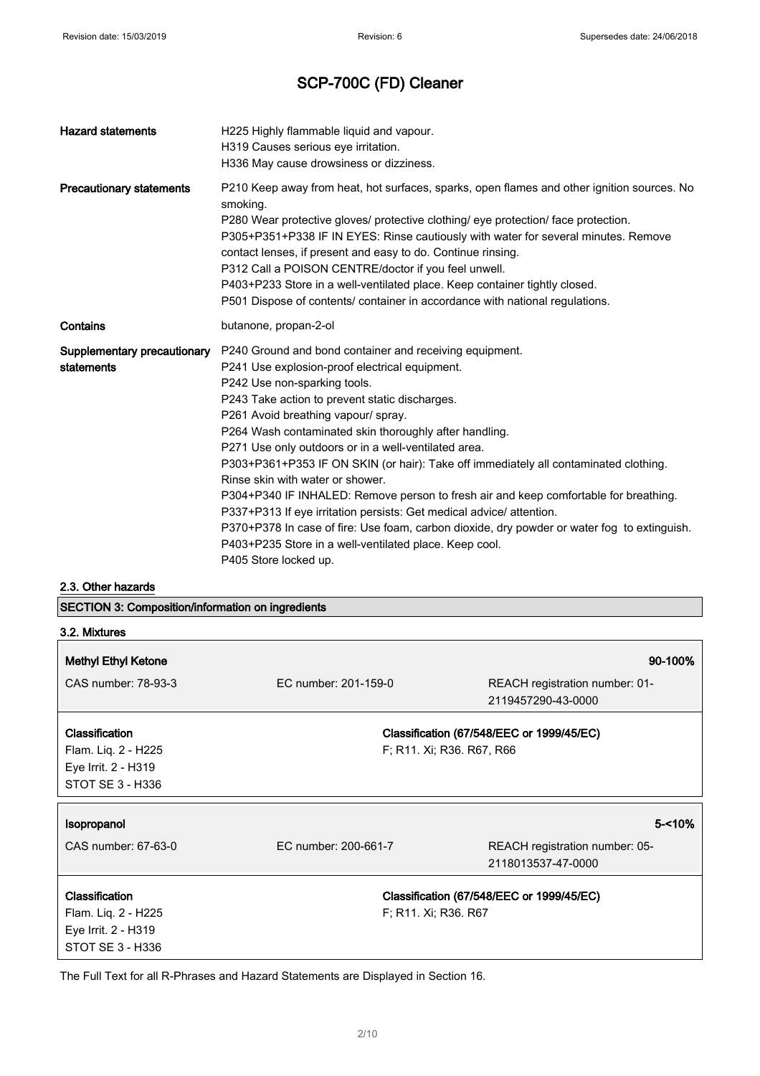| <b>Hazard statements</b>                  | H225 Highly flammable liquid and vapour.<br>H319 Causes serious eye irritation.<br>H336 May cause drowsiness or dizziness.                                                                                                                                                                                                                                                                                                                                                                                                                                                                                                                                                                                                                                                                                                         |
|-------------------------------------------|------------------------------------------------------------------------------------------------------------------------------------------------------------------------------------------------------------------------------------------------------------------------------------------------------------------------------------------------------------------------------------------------------------------------------------------------------------------------------------------------------------------------------------------------------------------------------------------------------------------------------------------------------------------------------------------------------------------------------------------------------------------------------------------------------------------------------------|
| <b>Precautionary statements</b>           | P210 Keep away from heat, hot surfaces, sparks, open flames and other ignition sources. No<br>smoking.<br>P280 Wear protective gloves/ protective clothing/ eye protection/ face protection.<br>P305+P351+P338 IF IN EYES: Rinse cautiously with water for several minutes. Remove<br>contact lenses, if present and easy to do. Continue rinsing.<br>P312 Call a POISON CENTRE/doctor if you feel unwell.<br>P403+P233 Store in a well-ventilated place. Keep container tightly closed.<br>P501 Dispose of contents/ container in accordance with national regulations.                                                                                                                                                                                                                                                           |
| Contains                                  | butanone, propan-2-ol                                                                                                                                                                                                                                                                                                                                                                                                                                                                                                                                                                                                                                                                                                                                                                                                              |
| Supplementary precautionary<br>statements | P240 Ground and bond container and receiving equipment.<br>P241 Use explosion-proof electrical equipment.<br>P242 Use non-sparking tools.<br>P243 Take action to prevent static discharges.<br>P261 Avoid breathing vapour/ spray.<br>P264 Wash contaminated skin thoroughly after handling.<br>P271 Use only outdoors or in a well-ventilated area.<br>P303+P361+P353 IF ON SKIN (or hair): Take off immediately all contaminated clothing.<br>Rinse skin with water or shower.<br>P304+P340 IF INHALED: Remove person to fresh air and keep comfortable for breathing.<br>P337+P313 If eye irritation persists: Get medical advice/ attention.<br>P370+P378 In case of fire: Use foam, carbon dioxide, dry powder or water fog to extinguish.<br>P403+P235 Store in a well-ventilated place. Keep cool.<br>P405 Store locked up. |

2.3. Other hazards

SECTION 3: Composition/information on ingredients

| 3.2. Mixtures              |                      |                                           |
|----------------------------|----------------------|-------------------------------------------|
| <b>Methyl Ethyl Ketone</b> |                      | 90-100%                                   |
| CAS number: 78-93-3        | EC number: 201-159-0 | REACH registration number: 01-            |
|                            |                      | 2119457290-43-0000                        |
| Classification             |                      | Classification (67/548/EEC or 1999/45/EC) |
| Flam. Liq. 2 - H225        |                      | F; R11. Xi; R36. R67, R66                 |
| Eye Irrit. 2 - H319        |                      |                                           |
| STOT SE 3 - H336           |                      |                                           |
| Isopropanol                |                      | $5 - 10%$                                 |
| CAS number: 67-63-0        | EC number: 200-661-7 | REACH registration number: 05-            |
|                            |                      | 2118013537-47-0000                        |
| <b>Classification</b>      |                      | Classification (67/548/EEC or 1999/45/EC) |
| Flam. Liq. 2 - H225        | F; R11. Xi; R36. R67 |                                           |
| Eye Irrit. 2 - H319        |                      |                                           |
| STOT SE 3 - H336           |                      |                                           |

The Full Text for all R-Phrases and Hazard Statements are Displayed in Section 16.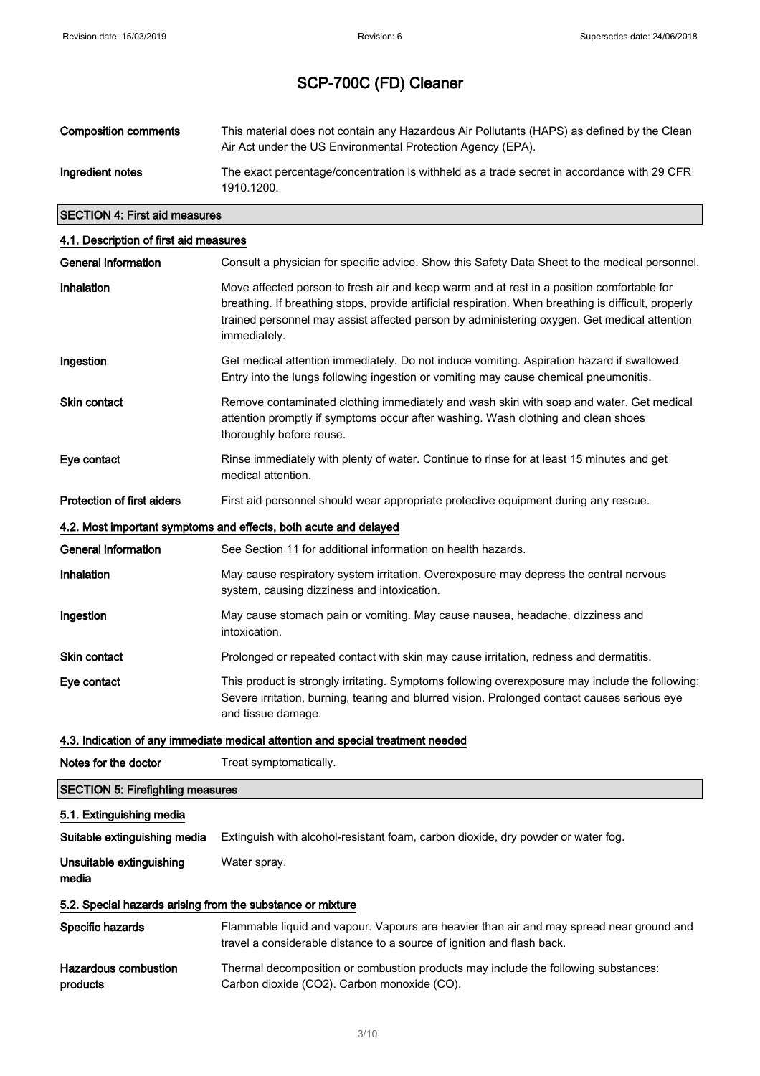| <b>Composition comments</b> | This material does not contain any Hazardous Air Pollutants (HAPS) as defined by the Clean<br>Air Act under the US Environmental Protection Agency (EPA). |
|-----------------------------|-----------------------------------------------------------------------------------------------------------------------------------------------------------|
| Ingredient notes            | The exact percentage/concentration is withheld as a trade secret in accordance with 29 CFR<br>1910.1200.                                                  |

## SECTION 4: First aid measures

| 4.1. Description of first aid measures                     |                                                                                                                                                                                                                                                                                                                  |  |  |
|------------------------------------------------------------|------------------------------------------------------------------------------------------------------------------------------------------------------------------------------------------------------------------------------------------------------------------------------------------------------------------|--|--|
| <b>General information</b>                                 | Consult a physician for specific advice. Show this Safety Data Sheet to the medical personnel.                                                                                                                                                                                                                   |  |  |
| Inhalation                                                 | Move affected person to fresh air and keep warm and at rest in a position comfortable for<br>breathing. If breathing stops, provide artificial respiration. When breathing is difficult, properly<br>trained personnel may assist affected person by administering oxygen. Get medical attention<br>immediately. |  |  |
| Ingestion                                                  | Get medical attention immediately. Do not induce vomiting. Aspiration hazard if swallowed.<br>Entry into the lungs following ingestion or vomiting may cause chemical pneumonitis.                                                                                                                               |  |  |
| <b>Skin contact</b>                                        | Remove contaminated clothing immediately and wash skin with soap and water. Get medical<br>attention promptly if symptoms occur after washing. Wash clothing and clean shoes<br>thoroughly before reuse.                                                                                                         |  |  |
| Eye contact                                                | Rinse immediately with plenty of water. Continue to rinse for at least 15 minutes and get<br>medical attention.                                                                                                                                                                                                  |  |  |
| <b>Protection of first aiders</b>                          | First aid personnel should wear appropriate protective equipment during any rescue.                                                                                                                                                                                                                              |  |  |
|                                                            | 4.2. Most important symptoms and effects, both acute and delayed                                                                                                                                                                                                                                                 |  |  |
| General information                                        | See Section 11 for additional information on health hazards.                                                                                                                                                                                                                                                     |  |  |
| Inhalation                                                 | May cause respiratory system irritation. Overexposure may depress the central nervous<br>system, causing dizziness and intoxication.                                                                                                                                                                             |  |  |
| Ingestion                                                  | May cause stomach pain or vomiting. May cause nausea, headache, dizziness and<br>intoxication.                                                                                                                                                                                                                   |  |  |
| <b>Skin contact</b>                                        | Prolonged or repeated contact with skin may cause irritation, redness and dermatitis.                                                                                                                                                                                                                            |  |  |
| Eye contact                                                | This product is strongly irritating. Symptoms following overexposure may include the following:<br>Severe irritation, burning, tearing and blurred vision. Prolonged contact causes serious eye<br>and tissue damage.                                                                                            |  |  |
|                                                            | 4.3. Indication of any immediate medical attention and special treatment needed                                                                                                                                                                                                                                  |  |  |
| Notes for the doctor                                       | Treat symptomatically.                                                                                                                                                                                                                                                                                           |  |  |
| <b>SECTION 5: Firefighting measures</b>                    |                                                                                                                                                                                                                                                                                                                  |  |  |
| 5.1. Extinguishing media                                   |                                                                                                                                                                                                                                                                                                                  |  |  |
| Suitable extinguishing media                               | Extinguish with alcohol-resistant foam, carbon dioxide, dry powder or water fog.                                                                                                                                                                                                                                 |  |  |
| Unsuitable extinguishing<br>media                          | Water spray.                                                                                                                                                                                                                                                                                                     |  |  |
| 5.2. Special hazards arising from the substance or mixture |                                                                                                                                                                                                                                                                                                                  |  |  |
| Specific hazards                                           | Flammable liquid and vapour. Vapours are heavier than air and may spread near ground and<br>travel a considerable distance to a source of ignition and flash back.                                                                                                                                               |  |  |
| <b>Hazardous combustion</b><br>products                    | Thermal decomposition or combustion products may include the following substances:<br>Carbon dioxide (CO2). Carbon monoxide (CO).                                                                                                                                                                                |  |  |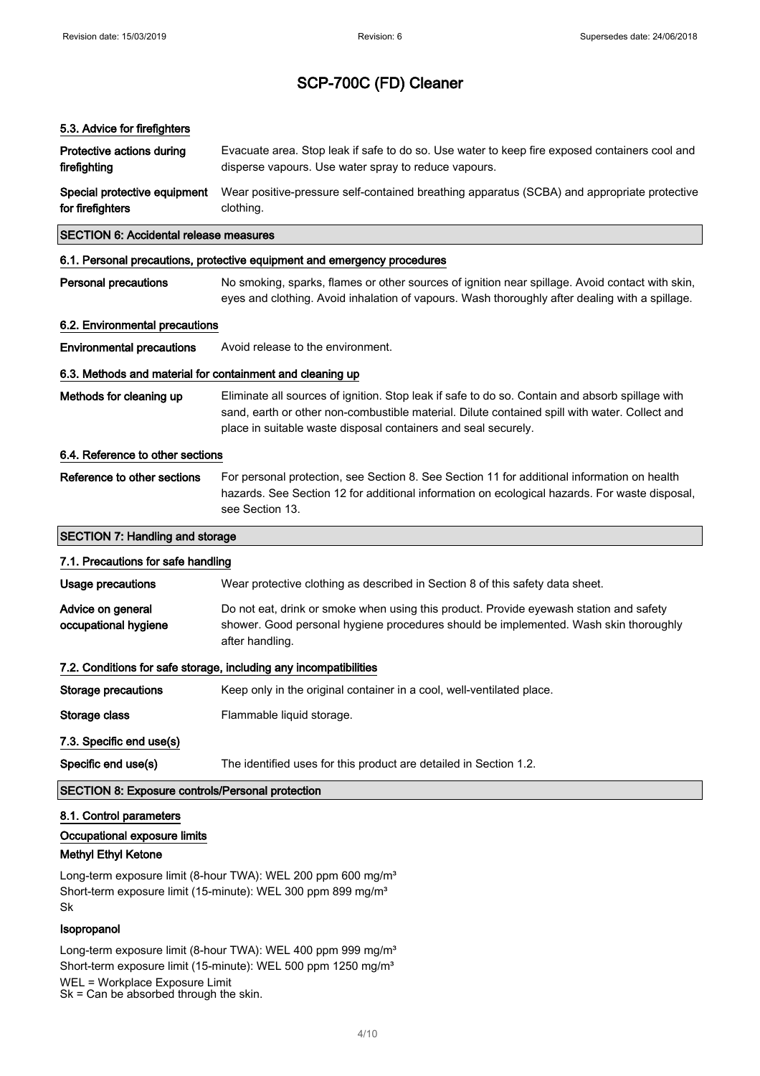## 5.3. Advice for firefighters

| Protective actions during<br>firefighting                 | Evacuate area. Stop leak if safe to do so. Use water to keep fire exposed containers cool and<br>disperse vapours. Use water spray to reduce vapours.                                                                                                              |  |
|-----------------------------------------------------------|--------------------------------------------------------------------------------------------------------------------------------------------------------------------------------------------------------------------------------------------------------------------|--|
| Special protective equipment<br>for firefighters          | Wear positive-pressure self-contained breathing apparatus (SCBA) and appropriate protective<br>clothing.                                                                                                                                                           |  |
| <b>SECTION 6: Accidental release measures</b>             |                                                                                                                                                                                                                                                                    |  |
|                                                           | 6.1. Personal precautions, protective equipment and emergency procedures                                                                                                                                                                                           |  |
| <b>Personal precautions</b>                               | No smoking, sparks, flames or other sources of ignition near spillage. Avoid contact with skin,<br>eyes and clothing. Avoid inhalation of vapours. Wash thoroughly after dealing with a spillage.                                                                  |  |
| 6.2. Environmental precautions                            |                                                                                                                                                                                                                                                                    |  |
| <b>Environmental precautions</b>                          | Avoid release to the environment.                                                                                                                                                                                                                                  |  |
| 6.3. Methods and material for containment and cleaning up |                                                                                                                                                                                                                                                                    |  |
| Methods for cleaning up                                   | Eliminate all sources of ignition. Stop leak if safe to do so. Contain and absorb spillage with<br>sand, earth or other non-combustible material. Dilute contained spill with water. Collect and<br>place in suitable waste disposal containers and seal securely. |  |
| 6.4. Reference to other sections                          |                                                                                                                                                                                                                                                                    |  |
| Reference to other sections                               | For personal protection, see Section 8. See Section 11 for additional information on health<br>hazards. See Section 12 for additional information on ecological hazards. For waste disposal,<br>see Section 13.                                                    |  |
| <b>SECTION 7: Handling and storage</b>                    |                                                                                                                                                                                                                                                                    |  |
| 7.1. Precautions for safe handling                        |                                                                                                                                                                                                                                                                    |  |
| <b>Usage precautions</b>                                  | Wear protective clothing as described in Section 8 of this safety data sheet.                                                                                                                                                                                      |  |
| Advice on general<br>occupational hygiene                 | Do not eat, drink or smoke when using this product. Provide eyewash station and safety<br>shower. Good personal hygiene procedures should be implemented. Wash skin thoroughly<br>after handling.                                                                  |  |
|                                                           | 7.2. Conditions for safe storage, including any incompatibilities                                                                                                                                                                                                  |  |
| Storage precautions                                       | Keep only in the original container in a cool, well-ventilated place.                                                                                                                                                                                              |  |
| Storage class                                             | Flammable liquid storage.                                                                                                                                                                                                                                          |  |
| 7.3. Specific end use(s)                                  |                                                                                                                                                                                                                                                                    |  |
| Specific end use(s)                                       | The identified uses for this product are detailed in Section 1.2.                                                                                                                                                                                                  |  |
| <b>SECTION 8: Exposure controls/Personal protection</b>   |                                                                                                                                                                                                                                                                    |  |
| 8.1. Control parameters                                   |                                                                                                                                                                                                                                                                    |  |

## Occupational exposure limits

## Methyl Ethyl Ketone

Long-term exposure limit (8-hour TWA): WEL 200 ppm 600 mg/m<sup>3</sup> Short-term exposure limit (15-minute): WEL 300 ppm 899 mg/m<sup>3</sup> Sk

## Isopropanol

Long-term exposure limit (8-hour TWA): WEL 400 ppm 999 mg/m<sup>3</sup> Short-term exposure limit (15-minute): WEL 500 ppm 1250 mg/m<sup>3</sup> WEL = Workplace Exposure Limit Sk = Can be absorbed through the skin.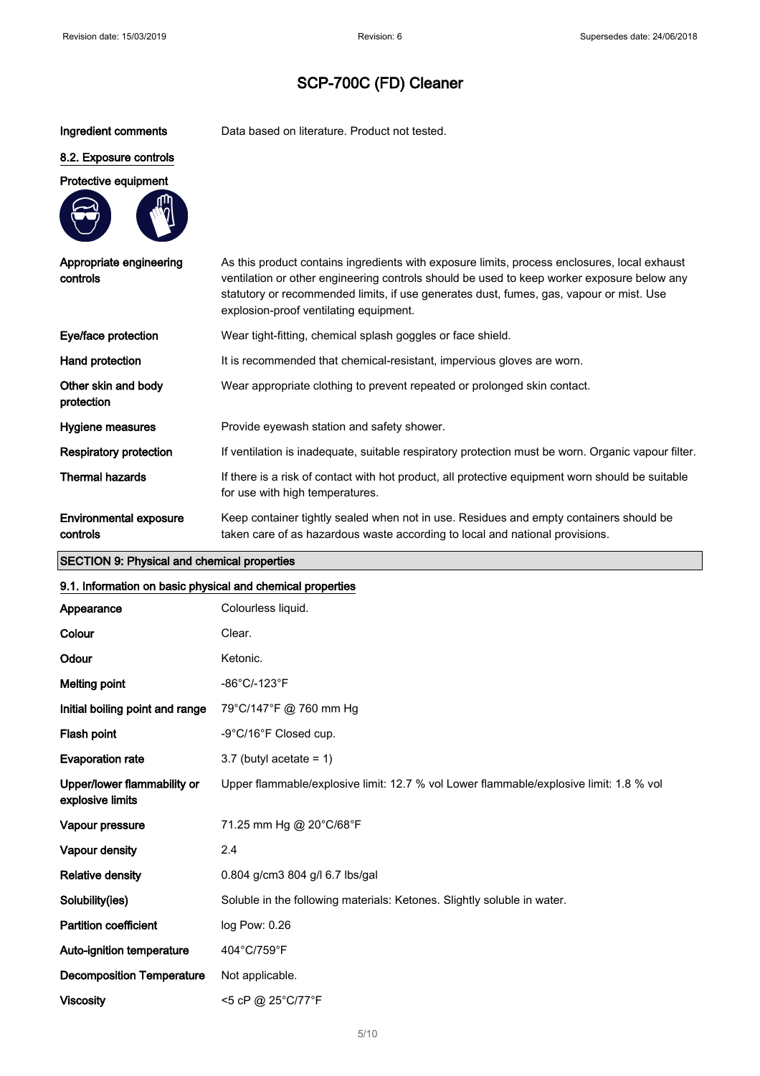Ingredient comments Data based on literature. Product not tested.

#### 8.2. Exposure controls

#### Protective equipment



| Appropriate engineering<br>controls       | As this product contains ingredients with exposure limits, process enclosures, local exhaust<br>ventilation or other engineering controls should be used to keep worker exposure below any<br>statutory or recommended limits, if use generates dust, fumes, gas, vapour or mist. Use<br>explosion-proof ventilating equipment. |
|-------------------------------------------|---------------------------------------------------------------------------------------------------------------------------------------------------------------------------------------------------------------------------------------------------------------------------------------------------------------------------------|
| Eye/face protection                       | Wear tight-fitting, chemical splash goggles or face shield.                                                                                                                                                                                                                                                                     |
| Hand protection                           | It is recommended that chemical-resistant, impervious gloves are worn.                                                                                                                                                                                                                                                          |
| Other skin and body<br>protection         | Wear appropriate clothing to prevent repeated or prolonged skin contact.                                                                                                                                                                                                                                                        |
| Hygiene measures                          | Provide eyewash station and safety shower.                                                                                                                                                                                                                                                                                      |
| Respiratory protection                    | If ventilation is inadequate, suitable respiratory protection must be worn. Organic vapour filter.                                                                                                                                                                                                                              |
| <b>Thermal hazards</b>                    | If there is a risk of contact with hot product, all protective equipment worn should be suitable<br>for use with high temperatures.                                                                                                                                                                                             |
| <b>Environmental exposure</b><br>controls | Keep container tightly sealed when not in use. Residues and empty containers should be<br>taken care of as hazardous waste according to local and national provisions.                                                                                                                                                          |

## SECTION 9: Physical and chemical properties

## 9.1. Information on basic physical and chemical properties Appearance Colourless liquid. Colour Clear. Odour Ketonic. Melting point  $-86^{\circ}$ C/-123 $^{\circ}$ F Initial boiling point and range 79°C/147°F @ 760 mm Hg Flash point  $-9^{\circ}$ C/16°F Closed cup. Evaporation rate  $3.7$  (butyl acetate = 1) Upper/lower flammability or explosive limits Upper flammable/explosive limit: 12.7 % vol Lower flammable/explosive limit: 1.8 % vol Vapour pressure 71.25 mm Hg @ 20°C/68°F Vapour density 2.4 Relative density 0.804 g/cm3 804 g/l 6.7 lbs/gal Solubility(ies) Soluble in the following materials: Ketones. Slightly soluble in water. Partition coefficient log Pow: 0.26 Auto-ignition temperature 404°C/759°F Decomposition Temperature Not applicable.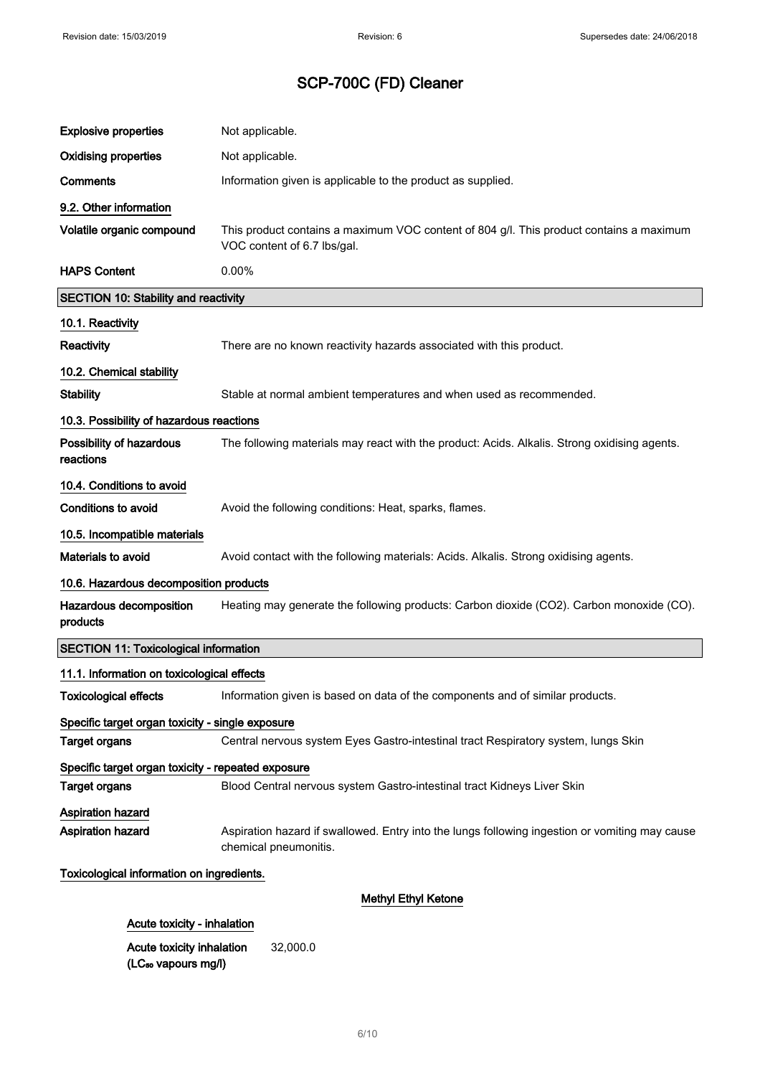| <b>Explosive properties</b>                        | Not applicable.                                                                                                         |  |
|----------------------------------------------------|-------------------------------------------------------------------------------------------------------------------------|--|
| <b>Oxidising properties</b>                        | Not applicable.                                                                                                         |  |
| <b>Comments</b>                                    | Information given is applicable to the product as supplied.                                                             |  |
| 9.2. Other information                             |                                                                                                                         |  |
| Volatile organic compound                          | This product contains a maximum VOC content of 804 g/l. This product contains a maximum<br>VOC content of 6.7 lbs/gal.  |  |
| <b>HAPS Content</b>                                | 0.00%                                                                                                                   |  |
| <b>SECTION 10: Stability and reactivity</b>        |                                                                                                                         |  |
| 10.1. Reactivity                                   |                                                                                                                         |  |
| Reactivity                                         | There are no known reactivity hazards associated with this product.                                                     |  |
| 10.2. Chemical stability                           |                                                                                                                         |  |
| <b>Stability</b>                                   | Stable at normal ambient temperatures and when used as recommended.                                                     |  |
| 10.3. Possibility of hazardous reactions           |                                                                                                                         |  |
| Possibility of hazardous<br>reactions              | The following materials may react with the product: Acids. Alkalis. Strong oxidising agents.                            |  |
| 10.4. Conditions to avoid                          |                                                                                                                         |  |
| <b>Conditions to avoid</b>                         | Avoid the following conditions: Heat, sparks, flames.                                                                   |  |
| 10.5. Incompatible materials                       |                                                                                                                         |  |
| Materials to avoid                                 | Avoid contact with the following materials: Acids. Alkalis. Strong oxidising agents.                                    |  |
| 10.6. Hazardous decomposition products             |                                                                                                                         |  |
| Hazardous decomposition<br>products                | Heating may generate the following products: Carbon dioxide (CO2). Carbon monoxide (CO).                                |  |
| <b>SECTION 11: Toxicological information</b>       |                                                                                                                         |  |
| 11.1. Information on toxicological effects         |                                                                                                                         |  |
| <b>Toxicological effects</b>                       | Information given is based on data of the components and of similar products.                                           |  |
| Specific target organ toxicity - single exposure   |                                                                                                                         |  |
| <b>Target organs</b>                               | Central nervous system Eyes Gastro-intestinal tract Respiratory system, lungs Skin                                      |  |
| Specific target organ toxicity - repeated exposure |                                                                                                                         |  |
| <b>Target organs</b>                               | Blood Central nervous system Gastro-intestinal tract Kidneys Liver Skin                                                 |  |
| Aspiration hazard                                  |                                                                                                                         |  |
| Aspiration hazard                                  | Aspiration hazard if swallowed. Entry into the lungs following ingestion or vomiting may cause<br>chemical pneumonitis. |  |
| Toxicological information on ingredients.          |                                                                                                                         |  |
| <b>Methyl Ethyl Ketone</b>                         |                                                                                                                         |  |
| Acute toxicity - inhalation                        |                                                                                                                         |  |

Acute toxicity inhalation (LC<sub>50</sub> vapours mg/l) 32,000.0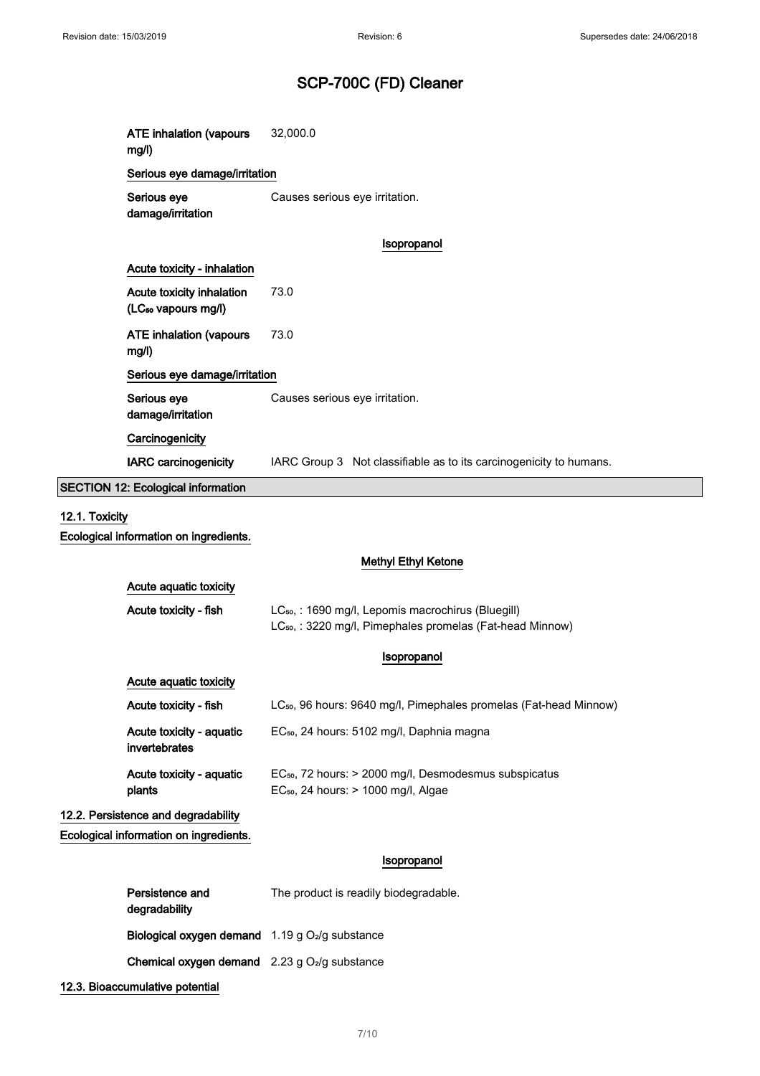|                | <b>ATE inhalation (vapours</b><br>mg/l)                      | 32,000.0                                                                                                                                |  |  |
|----------------|--------------------------------------------------------------|-----------------------------------------------------------------------------------------------------------------------------------------|--|--|
|                | Serious eye damage/irritation                                |                                                                                                                                         |  |  |
|                | Serious eye<br>damage/irritation                             | Causes serious eye irritation.                                                                                                          |  |  |
|                |                                                              | Isopropanol                                                                                                                             |  |  |
|                | Acute toxicity - inhalation                                  |                                                                                                                                         |  |  |
|                | Acute toxicity inhalation<br>(LC <sub>50</sub> vapours mg/l) | 73.0                                                                                                                                    |  |  |
|                | <b>ATE inhalation (vapours</b><br>mg/l)                      | 73.0                                                                                                                                    |  |  |
|                | Serious eye damage/irritation                                |                                                                                                                                         |  |  |
|                | Serious eye<br>damage/irritation                             | Causes serious eye irritation.                                                                                                          |  |  |
|                | Carcinogenicity                                              |                                                                                                                                         |  |  |
|                | <b>IARC</b> carcinogenicity                                  | IARC Group 3 Not classifiable as to its carcinogenicity to humans.                                                                      |  |  |
|                | <b>SECTION 12: Ecological information</b>                    |                                                                                                                                         |  |  |
| 12.1. Toxicity |                                                              |                                                                                                                                         |  |  |
|                | Ecological information on ingredients.                       |                                                                                                                                         |  |  |
|                |                                                              | <b>Methyl Ethyl Ketone</b>                                                                                                              |  |  |
|                | Acute aquatic toxicity                                       |                                                                                                                                         |  |  |
|                | Acute toxicity - fish                                        | LC <sub>50</sub> , : 1690 mg/l, Lepomis macrochirus (Bluegill)<br>LC <sub>50</sub> , : 3220 mg/l, Pimephales promelas (Fat-head Minnow) |  |  |
|                |                                                              | Isopropanol                                                                                                                             |  |  |
|                | Acute aquatic toxicity                                       |                                                                                                                                         |  |  |
|                | Acute toxicity - fish                                        | LC <sub>50</sub> , 96 hours: 9640 mg/l, Pimephales promelas (Fat-head Minnow)                                                           |  |  |
|                | Acute toxicity - aquatic<br>invertebrates                    | EC <sub>50</sub> , 24 hours: 5102 mg/l, Daphnia magna                                                                                   |  |  |
|                | Acute toxicity - aquatic<br>plants                           | EC <sub>50</sub> , 72 hours: > 2000 mg/l, Desmodesmus subspicatus<br>EC <sub>50</sub> , 24 hours: > 1000 mg/l, Algae                    |  |  |
|                | 12.2. Persistence and degradability                          |                                                                                                                                         |  |  |
|                | Ecological information on ingredients.                       |                                                                                                                                         |  |  |

## Isopropanol

| Persistence and<br>degradability                                     | The product is readily biodegradable. |
|----------------------------------------------------------------------|---------------------------------------|
| <b>Biological oxygen demand</b> $1.19$ g O <sub>2</sub> /g substance |                                       |
| <b>Chemical oxygen demand</b> $2.23$ g $O2/g$ substance              |                                       |
|                                                                      |                                       |

12.3. Bioaccumulative potential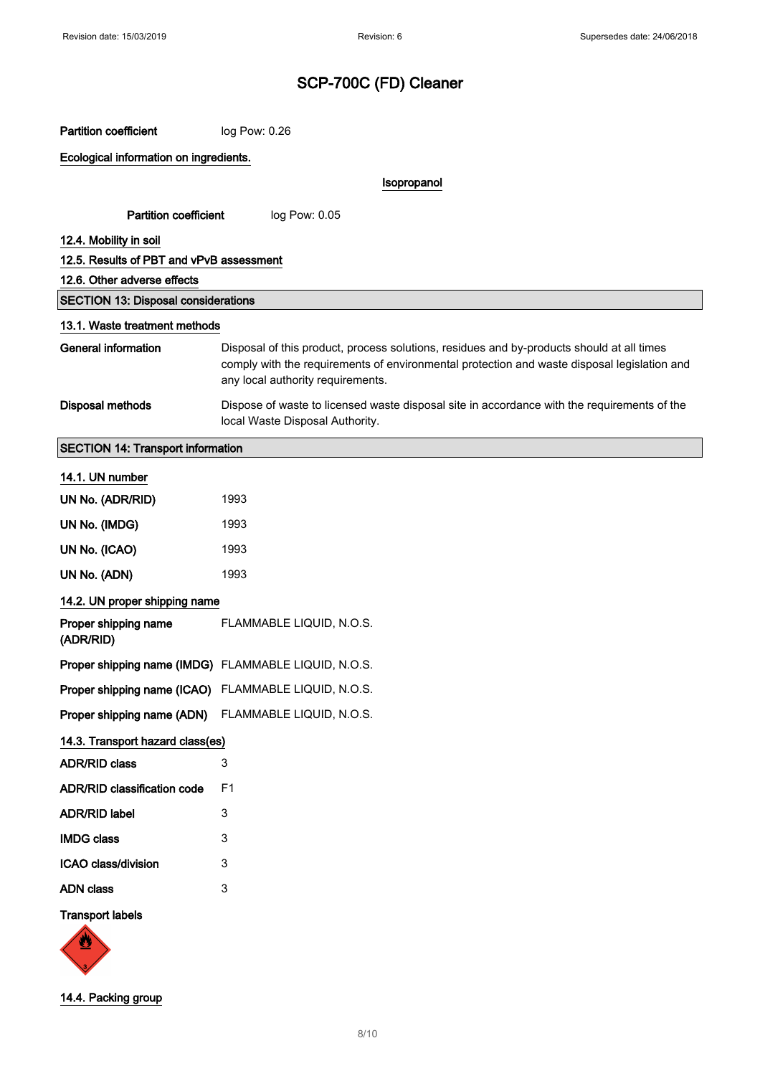| <b>Partition coefficient</b>                         | log Pow: 0.26                                                                                                                                                                                                                 |  |  |
|------------------------------------------------------|-------------------------------------------------------------------------------------------------------------------------------------------------------------------------------------------------------------------------------|--|--|
| Ecological information on ingredients.               |                                                                                                                                                                                                                               |  |  |
|                                                      | Isopropanol                                                                                                                                                                                                                   |  |  |
| <b>Partition coefficient</b>                         | log Pow: 0.05                                                                                                                                                                                                                 |  |  |
| 12.4. Mobility in soil                               |                                                                                                                                                                                                                               |  |  |
| 12.5. Results of PBT and vPvB assessment             |                                                                                                                                                                                                                               |  |  |
| 12.6. Other adverse effects                          |                                                                                                                                                                                                                               |  |  |
| <b>SECTION 13: Disposal considerations</b>           |                                                                                                                                                                                                                               |  |  |
| 13.1. Waste treatment methods                        |                                                                                                                                                                                                                               |  |  |
| <b>General information</b>                           | Disposal of this product, process solutions, residues and by-products should at all times<br>comply with the requirements of environmental protection and waste disposal legislation and<br>any local authority requirements. |  |  |
| <b>Disposal methods</b>                              | Dispose of waste to licensed waste disposal site in accordance with the requirements of the<br>local Waste Disposal Authority.                                                                                                |  |  |
| <b>SECTION 14: Transport information</b>             |                                                                                                                                                                                                                               |  |  |
| 14.1. UN number                                      |                                                                                                                                                                                                                               |  |  |
| UN No. (ADR/RID)                                     | 1993                                                                                                                                                                                                                          |  |  |
| UN No. (IMDG)                                        | 1993                                                                                                                                                                                                                          |  |  |
| UN No. (ICAO)                                        | 1993                                                                                                                                                                                                                          |  |  |
| UN No. (ADN)                                         | 1993                                                                                                                                                                                                                          |  |  |
| 14.2. UN proper shipping name                        |                                                                                                                                                                                                                               |  |  |
| Proper shipping name<br>(ADR/RID)                    | FLAMMABLE LIQUID, N.O.S.                                                                                                                                                                                                      |  |  |
| Proper shipping name (IMDG) FLAMMABLE LIQUID, N.O.S. |                                                                                                                                                                                                                               |  |  |
| Proper shipping name (ICAO) FLAMMABLE LIQUID, N.O.S. |                                                                                                                                                                                                                               |  |  |
| Proper shipping name (ADN) FLAMMABLE LIQUID, N.O.S.  |                                                                                                                                                                                                                               |  |  |
| 14.3. Transport hazard class(es)                     |                                                                                                                                                                                                                               |  |  |
| <b>ADR/RID class</b>                                 | 3                                                                                                                                                                                                                             |  |  |
| <b>ADR/RID classification code</b>                   | F <sub>1</sub>                                                                                                                                                                                                                |  |  |
| <b>ADR/RID label</b>                                 | 3                                                                                                                                                                                                                             |  |  |
| <b>IMDG class</b>                                    | 3                                                                                                                                                                                                                             |  |  |
| ICAO class/division                                  | 3                                                                                                                                                                                                                             |  |  |
| <b>ADN class</b>                                     | 3                                                                                                                                                                                                                             |  |  |
| <b>Transport labels</b><br>W                         |                                                                                                                                                                                                                               |  |  |



14.4. Packing group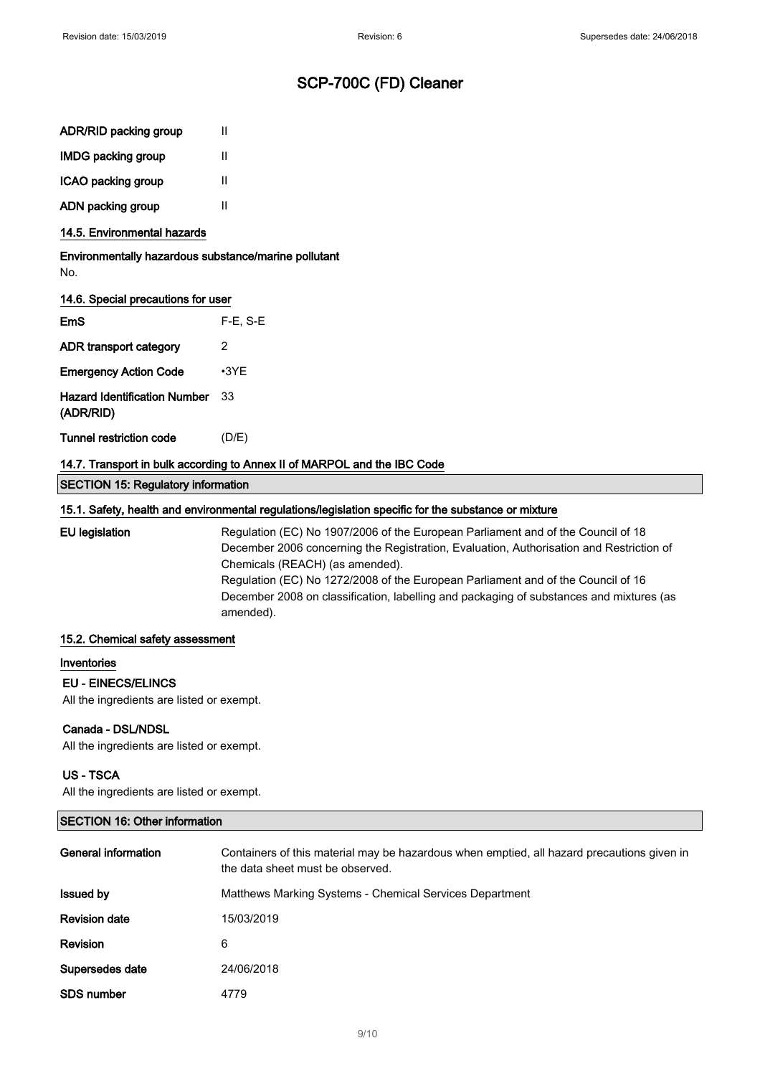| <b>IMDG packing group</b> |  |
|---------------------------|--|
|                           |  |

ICAO packing group II

ADN packing group II

## 14.5. Environmental hazards

Environmentally hazardous substance/marine pollutant No.

### 14.6. Special precautions for user

| F <sub>m</sub> S                                 | $F-E$ , S-E |
|--------------------------------------------------|-------------|
| ADR transport category                           | 2           |
| <b>Emergency Action Code</b>                     | $\cdot$ 3YF |
| <b>Hazard Identification Number</b><br>(ADR/RID) | 33          |
| Tunnel restriction code                          | (D/E)       |

### 14.7. Transport in bulk according to Annex II of MARPOL and the IBC Code

SECTION 15: Regulatory information

### 15.1. Safety, health and environmental regulations/legislation specific for the substance or mixture

EU legislation Regulation (EC) No 1907/2006 of the European Parliament and of the Council of 18 December 2006 concerning the Registration, Evaluation, Authorisation and Restriction of Chemicals (REACH) (as amended). Regulation (EC) No 1272/2008 of the European Parliament and of the Council of 16 December 2008 on classification, labelling and packaging of substances and mixtures (as

amended).

#### 15.2. Chemical safety assessment

#### Inventories

### EU - EINECS/ELINCS

All the ingredients are listed or exempt.

### Canada - DSL/NDSL

All the ingredients are listed or exempt.

## US - TSCA

All the ingredients are listed or exempt.

## SECTION 16: Other information

| General information  | Containers of this material may be hazardous when emptied, all hazard precautions given in<br>the data sheet must be observed. |
|----------------------|--------------------------------------------------------------------------------------------------------------------------------|
| <b>Issued by</b>     | Matthews Marking Systems - Chemical Services Department                                                                        |
| <b>Revision date</b> | 15/03/2019                                                                                                                     |
| <b>Revision</b>      | 6                                                                                                                              |
| Supersedes date      | 24/06/2018                                                                                                                     |
| <b>SDS number</b>    | 4779                                                                                                                           |